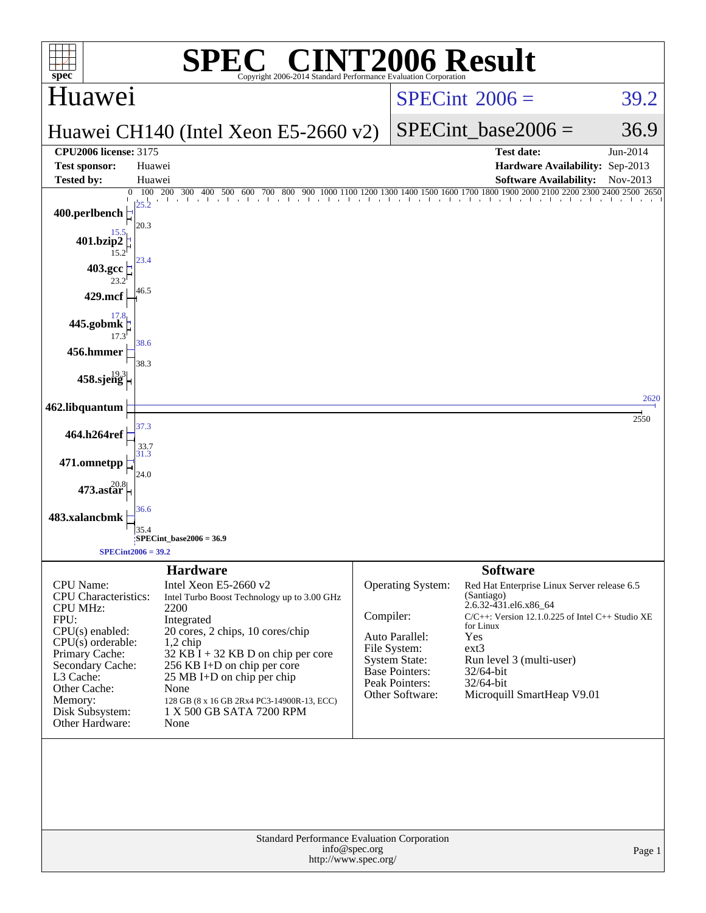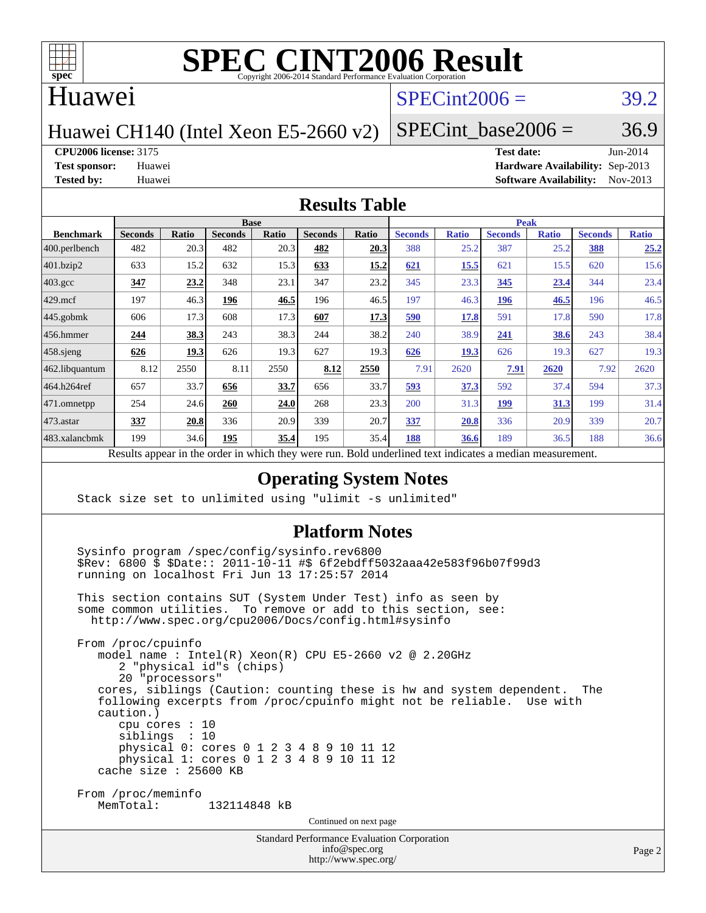

#### Huawei

## $SPECint2006 = 39.2$  $SPECint2006 = 39.2$

Huawei CH140 (Intel Xeon E5-2660 v2)

SPECint base2006 =  $36.9$ 

**[CPU2006 license:](http://www.spec.org/auto/cpu2006/Docs/result-fields.html#CPU2006license)** 3175 **[Test date:](http://www.spec.org/auto/cpu2006/Docs/result-fields.html#Testdate)** Jun-2014

**[Test sponsor:](http://www.spec.org/auto/cpu2006/Docs/result-fields.html#Testsponsor)** Huawei **[Hardware Availability:](http://www.spec.org/auto/cpu2006/Docs/result-fields.html#HardwareAvailability)** Sep-2013 **[Tested by:](http://www.spec.org/auto/cpu2006/Docs/result-fields.html#Testedby)** Huawei **[Software Availability:](http://www.spec.org/auto/cpu2006/Docs/result-fields.html#SoftwareAvailability)** Nov-2013

#### **[Results Table](http://www.spec.org/auto/cpu2006/Docs/result-fields.html#ResultsTable)**

|                    | <b>Base</b>                                       |       |                |              |                |       |                                                     | <b>Peak</b>  |                |              |                |              |  |
|--------------------|---------------------------------------------------|-------|----------------|--------------|----------------|-------|-----------------------------------------------------|--------------|----------------|--------------|----------------|--------------|--|
| <b>Benchmark</b>   | <b>Seconds</b>                                    | Ratio | <b>Seconds</b> | <b>Ratio</b> | <b>Seconds</b> | Ratio | <b>Seconds</b>                                      | <b>Ratio</b> | <b>Seconds</b> | <b>Ratio</b> | <b>Seconds</b> | <b>Ratio</b> |  |
| 400.perlbench      | 482                                               | 20.3  | 482            | 20.3         | 482            | 20.3  | 388                                                 | 25.2         | 387            | 25.2         | 388            | 25.2         |  |
| 401.bzip2          | 633                                               | 15.2  | 632            | 15.3         | 633            | 15.2  | 621                                                 | 15.5         | 621            | 15.5         | 620            | 15.6         |  |
| $403.\mathrm{gcc}$ | 347                                               | 23.2  | 348            | 23.1         | 347            | 23.2  | 345                                                 | 23.3         | 345            | 23.4         | 344            | 23.4         |  |
| $429$ mcf          | 197                                               | 46.3  | 196            | 46.5         | 196            | 46.5  | 197                                                 | 46.3         | <u> 196</u>    | 46.5         | 196            | 46.5         |  |
| $445$ .gobmk       | 606                                               | 17.3  | 608            | 17.3         | 607            | 17.3  | 590                                                 | 17.8         | 591            | 17.8         | 590            | 17.8         |  |
| $456.$ hmmer       | 244                                               | 38.3  | 243            | 38.3         | 244            | 38.2  | 240                                                 | 38.9         | 241            | 38.6         | 243            | 38.4         |  |
| $458$ .sjeng       | 626                                               | 19.3  | 626            | 19.3         | 627            | 19.3  | 626                                                 | 19.3         | 626            | 19.3         | 627            | 19.3         |  |
| 462.libquantum     | 8.12                                              | 2550  | 8.11           | 2550         | 8.12           | 2550  | 7.91                                                | 2620         | 7.91           | 2620         | 7.92           | 2620         |  |
| 464.h264ref        | 657                                               | 33.7  | 656            | 33.7         | 656            | 33.7  | 593                                                 | 37.3         | 592            | 37.4         | 594            | 37.3         |  |
| 471.omnetpp        | 254                                               | 24.6  | 260            | 24.0         | 268            | 23.3  | 200                                                 | 31.3         | <u> 199</u>    | <u>31.3</u>  | 199            | 31.4         |  |
| $473.$ astar       | 337                                               | 20.8  | 336            | 20.9         | 339            | 20.7  | 337                                                 | 20.8         | 336            | 20.9         | 339            | 20.7         |  |
| 483.xalancbmk      | 199                                               | 34.6  | 195            | 35.4         | 195            | 35.4  | 188                                                 | 36.6         | 189            | 36.5         | 188            | 36.6         |  |
|                    | Decute ennoye in the order in which they were mun |       |                |              |                |       | Dold underlined text indicates a madian measurement |              |                |              |                |              |  |

Results appear in the [order in which they were run.](http://www.spec.org/auto/cpu2006/Docs/result-fields.html#RunOrder) Bold underlined text [indicates a median measurement.](http://www.spec.org/auto/cpu2006/Docs/result-fields.html#Median)

#### **[Operating System Notes](http://www.spec.org/auto/cpu2006/Docs/result-fields.html#OperatingSystemNotes)**

Stack size set to unlimited using "ulimit -s unlimited"

#### **[Platform Notes](http://www.spec.org/auto/cpu2006/Docs/result-fields.html#PlatformNotes)**

 Sysinfo program /spec/config/sysinfo.rev6800 \$Rev: 6800 \$ \$Date:: 2011-10-11 #\$ 6f2ebdff5032aaa42e583f96b07f99d3 running on localhost Fri Jun 13 17:25:57 2014 This section contains SUT (System Under Test) info as seen by some common utilities. To remove or add to this section, see: <http://www.spec.org/cpu2006/Docs/config.html#sysinfo> From /proc/cpuinfo model name : Intel(R) Xeon(R) CPU E5-2660 v2 @ 2.20GHz 2 "physical id"s (chips) 20 "processors" cores, siblings (Caution: counting these is hw and system dependent. The following excerpts from /proc/cpuinfo might not be reliable. Use with caution.) cpu cores : 10 siblings : 10 physical 0: cores 0 1 2 3 4 8 9 10 11 12

 physical 1: cores 0 1 2 3 4 8 9 10 11 12 cache size : 25600 KB

From /proc/meminfo

MemTotal: 132114848 kB

Continued on next page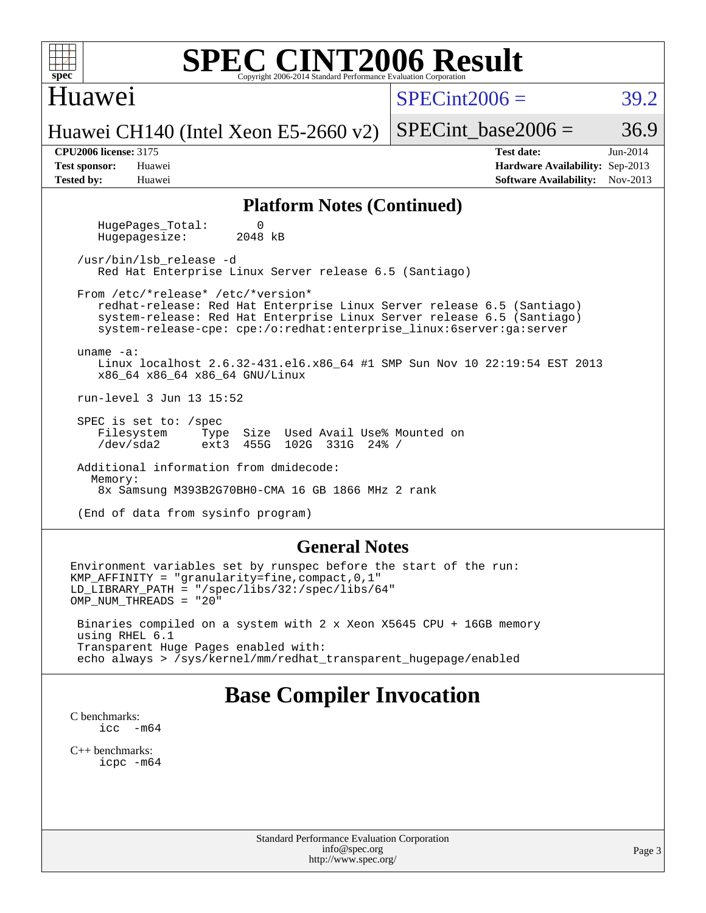| <b>SPEC CINT2006 Result</b><br>$spec*$<br>Copyright 2006-2014 Standard Performance Evaluation Corporation                                                                                                                                                      |                                                                                                              |  |  |  |  |  |  |  |  |
|----------------------------------------------------------------------------------------------------------------------------------------------------------------------------------------------------------------------------------------------------------------|--------------------------------------------------------------------------------------------------------------|--|--|--|--|--|--|--|--|
| Huawei                                                                                                                                                                                                                                                         | $SPECint2006 =$<br>39.2                                                                                      |  |  |  |  |  |  |  |  |
| Huawei CH140 (Intel Xeon E5-2660 v2)                                                                                                                                                                                                                           | 36.9<br>$SPECint base2006 =$                                                                                 |  |  |  |  |  |  |  |  |
| <b>CPU2006 license: 3175</b><br><b>Test sponsor:</b><br>Huawei<br><b>Tested by:</b><br>Huawei                                                                                                                                                                  | <b>Test date:</b><br>$Jun-2014$<br>Hardware Availability: Sep-2013<br><b>Software Availability:</b> Nov-2013 |  |  |  |  |  |  |  |  |
| <b>Platform Notes (Continued)</b>                                                                                                                                                                                                                              |                                                                                                              |  |  |  |  |  |  |  |  |
| HugePages_Total:<br>0<br>2048 kB<br>Hugepagesize:                                                                                                                                                                                                              |                                                                                                              |  |  |  |  |  |  |  |  |
| /usr/bin/lsb release -d<br>Red Hat Enterprise Linux Server release 6.5 (Santiago)                                                                                                                                                                              |                                                                                                              |  |  |  |  |  |  |  |  |
| From /etc/*release* /etc/*version*<br>redhat-release: Red Hat Enterprise Linux Server release 6.5 (Santiago)<br>system-release: Red Hat Enterprise Linux Server release 6.5 (Santiago)<br>system-release-cpe: cpe:/o:redhat:enterprise_linux:6server:ga:server |                                                                                                              |  |  |  |  |  |  |  |  |
| uname $-a$ :<br>Linux localhost 2.6.32-431.el6.x86_64 #1 SMP Sun Nov 10 22:19:54 EST 2013<br>x86_64 x86_64 x86_64 GNU/Linux                                                                                                                                    |                                                                                                              |  |  |  |  |  |  |  |  |
| run-level 3 Jun 13 15:52                                                                                                                                                                                                                                       |                                                                                                              |  |  |  |  |  |  |  |  |
| SPEC is set to: /spec<br>Filesystem<br>Type Size Used Avail Use% Mounted on<br>/dev/sda2<br>ext3 455G 102G 331G 24% /                                                                                                                                          |                                                                                                              |  |  |  |  |  |  |  |  |
| Additional information from dmidecode:<br>Memory:<br>8x Samsung M393B2G70BH0-CMA 16 GB 1866 MHz 2 rank                                                                                                                                                         |                                                                                                              |  |  |  |  |  |  |  |  |
| (End of data from sysinfo program)                                                                                                                                                                                                                             |                                                                                                              |  |  |  |  |  |  |  |  |
| <b>General Notes</b>                                                                                                                                                                                                                                           |                                                                                                              |  |  |  |  |  |  |  |  |
| Environment variables set by runspec before the start of the run:<br>$KMP_AFFINITY = "granularity=fine, compact, 0, 1"$<br>$LD_LIBRARY_PATH = "/gpec/libs/32://spec/libs/64"$<br>OMP_NUM_THREADS = "20"                                                        |                                                                                                              |  |  |  |  |  |  |  |  |

 Binaries compiled on a system with 2 x Xeon X5645 CPU + 16GB memory using RHEL 6.1 Transparent Huge Pages enabled with: echo always > /sys/kernel/mm/redhat\_transparent\_hugepage/enabled

# **[Base Compiler Invocation](http://www.spec.org/auto/cpu2006/Docs/result-fields.html#BaseCompilerInvocation)**

[C benchmarks](http://www.spec.org/auto/cpu2006/Docs/result-fields.html#Cbenchmarks): [icc -m64](http://www.spec.org/cpu2006/results/res2014q3/cpu2006-20140619-29978.flags.html#user_CCbase_intel_icc_64bit_f346026e86af2a669e726fe758c88044)

[C++ benchmarks:](http://www.spec.org/auto/cpu2006/Docs/result-fields.html#CXXbenchmarks) [icpc -m64](http://www.spec.org/cpu2006/results/res2014q3/cpu2006-20140619-29978.flags.html#user_CXXbase_intel_icpc_64bit_fc66a5337ce925472a5c54ad6a0de310)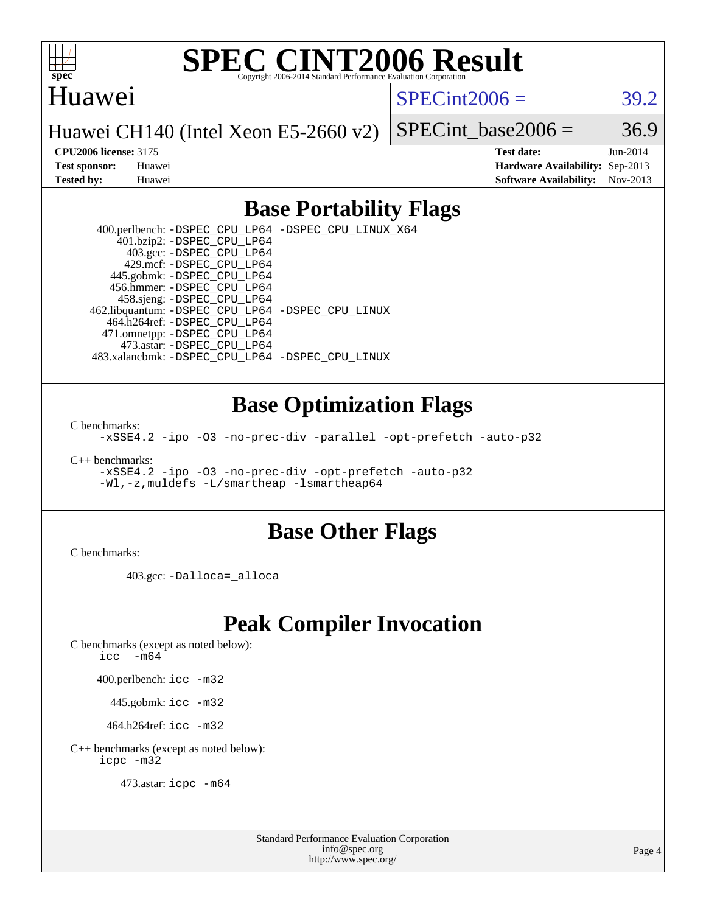

### Huawei

 $SPECint2006 = 39.2$  $SPECint2006 = 39.2$ 

Huawei CH140 (Intel Xeon E5-2660 v2)

SPECint base2006 =  $36.9$ 

**[CPU2006 license:](http://www.spec.org/auto/cpu2006/Docs/result-fields.html#CPU2006license)** 3175 **[Test date:](http://www.spec.org/auto/cpu2006/Docs/result-fields.html#Testdate)** Jun-2014 **[Test sponsor:](http://www.spec.org/auto/cpu2006/Docs/result-fields.html#Testsponsor)** Huawei **[Hardware Availability:](http://www.spec.org/auto/cpu2006/Docs/result-fields.html#HardwareAvailability)** Sep-2013 **[Tested by:](http://www.spec.org/auto/cpu2006/Docs/result-fields.html#Testedby)** Huawei **[Software Availability:](http://www.spec.org/auto/cpu2006/Docs/result-fields.html#SoftwareAvailability)** Nov-2013

### **[Base Portability Flags](http://www.spec.org/auto/cpu2006/Docs/result-fields.html#BasePortabilityFlags)**

 400.perlbench: [-DSPEC\\_CPU\\_LP64](http://www.spec.org/cpu2006/results/res2014q3/cpu2006-20140619-29978.flags.html#b400.perlbench_basePORTABILITY_DSPEC_CPU_LP64) [-DSPEC\\_CPU\\_LINUX\\_X64](http://www.spec.org/cpu2006/results/res2014q3/cpu2006-20140619-29978.flags.html#b400.perlbench_baseCPORTABILITY_DSPEC_CPU_LINUX_X64) 401.bzip2: [-DSPEC\\_CPU\\_LP64](http://www.spec.org/cpu2006/results/res2014q3/cpu2006-20140619-29978.flags.html#suite_basePORTABILITY401_bzip2_DSPEC_CPU_LP64) 403.gcc: [-DSPEC\\_CPU\\_LP64](http://www.spec.org/cpu2006/results/res2014q3/cpu2006-20140619-29978.flags.html#suite_basePORTABILITY403_gcc_DSPEC_CPU_LP64) 429.mcf: [-DSPEC\\_CPU\\_LP64](http://www.spec.org/cpu2006/results/res2014q3/cpu2006-20140619-29978.flags.html#suite_basePORTABILITY429_mcf_DSPEC_CPU_LP64) 445.gobmk: [-DSPEC\\_CPU\\_LP64](http://www.spec.org/cpu2006/results/res2014q3/cpu2006-20140619-29978.flags.html#suite_basePORTABILITY445_gobmk_DSPEC_CPU_LP64) 456.hmmer: [-DSPEC\\_CPU\\_LP64](http://www.spec.org/cpu2006/results/res2014q3/cpu2006-20140619-29978.flags.html#suite_basePORTABILITY456_hmmer_DSPEC_CPU_LP64) 458.sjeng: [-DSPEC\\_CPU\\_LP64](http://www.spec.org/cpu2006/results/res2014q3/cpu2006-20140619-29978.flags.html#suite_basePORTABILITY458_sjeng_DSPEC_CPU_LP64) 462.libquantum: [-DSPEC\\_CPU\\_LP64](http://www.spec.org/cpu2006/results/res2014q3/cpu2006-20140619-29978.flags.html#suite_basePORTABILITY462_libquantum_DSPEC_CPU_LP64) [-DSPEC\\_CPU\\_LINUX](http://www.spec.org/cpu2006/results/res2014q3/cpu2006-20140619-29978.flags.html#b462.libquantum_baseCPORTABILITY_DSPEC_CPU_LINUX) 464.h264ref: [-DSPEC\\_CPU\\_LP64](http://www.spec.org/cpu2006/results/res2014q3/cpu2006-20140619-29978.flags.html#suite_basePORTABILITY464_h264ref_DSPEC_CPU_LP64) 471.omnetpp: [-DSPEC\\_CPU\\_LP64](http://www.spec.org/cpu2006/results/res2014q3/cpu2006-20140619-29978.flags.html#suite_basePORTABILITY471_omnetpp_DSPEC_CPU_LP64) 473.astar: [-DSPEC\\_CPU\\_LP64](http://www.spec.org/cpu2006/results/res2014q3/cpu2006-20140619-29978.flags.html#suite_basePORTABILITY473_astar_DSPEC_CPU_LP64) 483.xalancbmk: [-DSPEC\\_CPU\\_LP64](http://www.spec.org/cpu2006/results/res2014q3/cpu2006-20140619-29978.flags.html#suite_basePORTABILITY483_xalancbmk_DSPEC_CPU_LP64) [-DSPEC\\_CPU\\_LINUX](http://www.spec.org/cpu2006/results/res2014q3/cpu2006-20140619-29978.flags.html#b483.xalancbmk_baseCXXPORTABILITY_DSPEC_CPU_LINUX)

### **[Base Optimization Flags](http://www.spec.org/auto/cpu2006/Docs/result-fields.html#BaseOptimizationFlags)**

[C benchmarks](http://www.spec.org/auto/cpu2006/Docs/result-fields.html#Cbenchmarks):

[-xSSE4.2](http://www.spec.org/cpu2006/results/res2014q3/cpu2006-20140619-29978.flags.html#user_CCbase_f-xSSE42_f91528193cf0b216347adb8b939d4107) [-ipo](http://www.spec.org/cpu2006/results/res2014q3/cpu2006-20140619-29978.flags.html#user_CCbase_f-ipo) [-O3](http://www.spec.org/cpu2006/results/res2014q3/cpu2006-20140619-29978.flags.html#user_CCbase_f-O3) [-no-prec-div](http://www.spec.org/cpu2006/results/res2014q3/cpu2006-20140619-29978.flags.html#user_CCbase_f-no-prec-div) [-parallel](http://www.spec.org/cpu2006/results/res2014q3/cpu2006-20140619-29978.flags.html#user_CCbase_f-parallel) [-opt-prefetch](http://www.spec.org/cpu2006/results/res2014q3/cpu2006-20140619-29978.flags.html#user_CCbase_f-opt-prefetch) [-auto-p32](http://www.spec.org/cpu2006/results/res2014q3/cpu2006-20140619-29978.flags.html#user_CCbase_f-auto-p32)

[C++ benchmarks:](http://www.spec.org/auto/cpu2006/Docs/result-fields.html#CXXbenchmarks)

[-xSSE4.2](http://www.spec.org/cpu2006/results/res2014q3/cpu2006-20140619-29978.flags.html#user_CXXbase_f-xSSE42_f91528193cf0b216347adb8b939d4107) [-ipo](http://www.spec.org/cpu2006/results/res2014q3/cpu2006-20140619-29978.flags.html#user_CXXbase_f-ipo) [-O3](http://www.spec.org/cpu2006/results/res2014q3/cpu2006-20140619-29978.flags.html#user_CXXbase_f-O3) [-no-prec-div](http://www.spec.org/cpu2006/results/res2014q3/cpu2006-20140619-29978.flags.html#user_CXXbase_f-no-prec-div) [-opt-prefetch](http://www.spec.org/cpu2006/results/res2014q3/cpu2006-20140619-29978.flags.html#user_CXXbase_f-opt-prefetch) [-auto-p32](http://www.spec.org/cpu2006/results/res2014q3/cpu2006-20140619-29978.flags.html#user_CXXbase_f-auto-p32) [-Wl,-z,muldefs](http://www.spec.org/cpu2006/results/res2014q3/cpu2006-20140619-29978.flags.html#user_CXXbase_link_force_multiple1_74079c344b956b9658436fd1b6dd3a8a) [-L/smartheap -lsmartheap64](http://www.spec.org/cpu2006/results/res2014q3/cpu2006-20140619-29978.flags.html#user_CXXbase_SmartHeap64_5e654037dadeae1fe403ab4b4466e60b)

#### **[Base Other Flags](http://www.spec.org/auto/cpu2006/Docs/result-fields.html#BaseOtherFlags)**

[C benchmarks](http://www.spec.org/auto/cpu2006/Docs/result-fields.html#Cbenchmarks):

403.gcc: [-Dalloca=\\_alloca](http://www.spec.org/cpu2006/results/res2014q3/cpu2006-20140619-29978.flags.html#b403.gcc_baseEXTRA_CFLAGS_Dalloca_be3056838c12de2578596ca5467af7f3)

# **[Peak Compiler Invocation](http://www.spec.org/auto/cpu2006/Docs/result-fields.html#PeakCompilerInvocation)**

[C benchmarks \(except as noted below\)](http://www.spec.org/auto/cpu2006/Docs/result-fields.html#Cbenchmarksexceptasnotedbelow):

[icc -m64](http://www.spec.org/cpu2006/results/res2014q3/cpu2006-20140619-29978.flags.html#user_CCpeak_intel_icc_64bit_f346026e86af2a669e726fe758c88044)

400.perlbench: [icc -m32](http://www.spec.org/cpu2006/results/res2014q3/cpu2006-20140619-29978.flags.html#user_peakCCLD400_perlbench_intel_icc_a6a621f8d50482236b970c6ac5f55f93)

445.gobmk: [icc -m32](http://www.spec.org/cpu2006/results/res2014q3/cpu2006-20140619-29978.flags.html#user_peakCCLD445_gobmk_intel_icc_a6a621f8d50482236b970c6ac5f55f93)

464.h264ref: [icc -m32](http://www.spec.org/cpu2006/results/res2014q3/cpu2006-20140619-29978.flags.html#user_peakCCLD464_h264ref_intel_icc_a6a621f8d50482236b970c6ac5f55f93)

[C++ benchmarks \(except as noted below\):](http://www.spec.org/auto/cpu2006/Docs/result-fields.html#CXXbenchmarksexceptasnotedbelow) [icpc -m32](http://www.spec.org/cpu2006/results/res2014q3/cpu2006-20140619-29978.flags.html#user_CXXpeak_intel_icpc_4e5a5ef1a53fd332b3c49e69c3330699)

473.astar: [icpc -m64](http://www.spec.org/cpu2006/results/res2014q3/cpu2006-20140619-29978.flags.html#user_peakCXXLD473_astar_intel_icpc_64bit_fc66a5337ce925472a5c54ad6a0de310)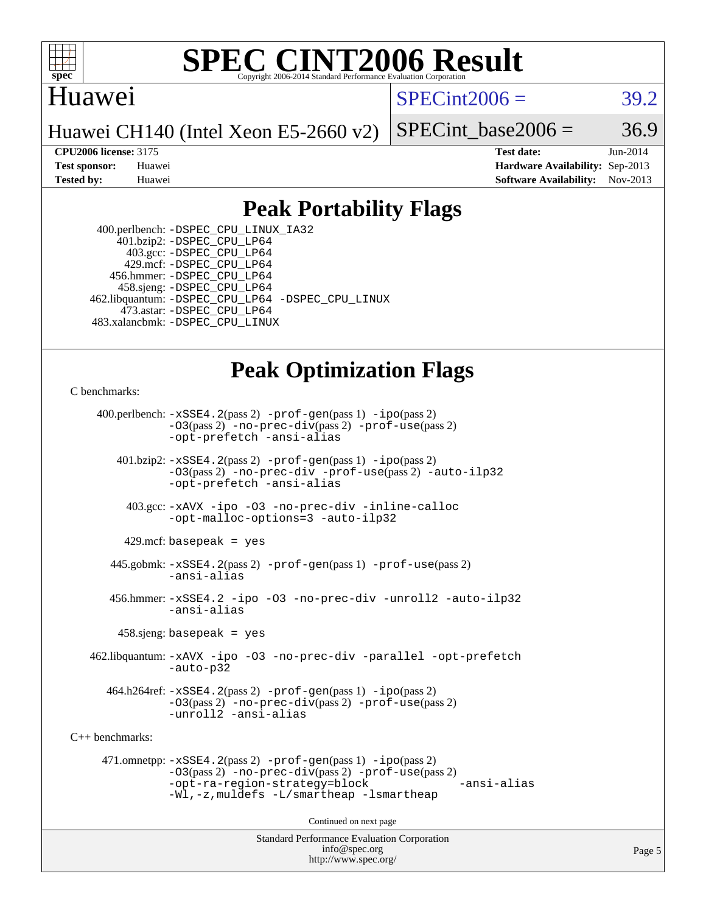

## Huawei

 $SPECint2006 = 39.2$  $SPECint2006 = 39.2$ 

Huawei CH140 (Intel Xeon E5-2660 v2)

SPECint base2006 =  $36.9$ 

**[CPU2006 license:](http://www.spec.org/auto/cpu2006/Docs/result-fields.html#CPU2006license)** 3175 **[Test date:](http://www.spec.org/auto/cpu2006/Docs/result-fields.html#Testdate)** Jun-2014 **[Test sponsor:](http://www.spec.org/auto/cpu2006/Docs/result-fields.html#Testsponsor)** Huawei **[Hardware Availability:](http://www.spec.org/auto/cpu2006/Docs/result-fields.html#HardwareAvailability)** Sep-2013 **[Tested by:](http://www.spec.org/auto/cpu2006/Docs/result-fields.html#Testedby)** Huawei **[Software Availability:](http://www.spec.org/auto/cpu2006/Docs/result-fields.html#SoftwareAvailability)** Nov-2013

## **[Peak Portability Flags](http://www.spec.org/auto/cpu2006/Docs/result-fields.html#PeakPortabilityFlags)**

 400.perlbench: [-DSPEC\\_CPU\\_LINUX\\_IA32](http://www.spec.org/cpu2006/results/res2014q3/cpu2006-20140619-29978.flags.html#b400.perlbench_peakCPORTABILITY_DSPEC_CPU_LINUX_IA32) 401.bzip2: [-DSPEC\\_CPU\\_LP64](http://www.spec.org/cpu2006/results/res2014q3/cpu2006-20140619-29978.flags.html#suite_peakPORTABILITY401_bzip2_DSPEC_CPU_LP64) 403.gcc: [-DSPEC\\_CPU\\_LP64](http://www.spec.org/cpu2006/results/res2014q3/cpu2006-20140619-29978.flags.html#suite_peakPORTABILITY403_gcc_DSPEC_CPU_LP64) 429.mcf: [-DSPEC\\_CPU\\_LP64](http://www.spec.org/cpu2006/results/res2014q3/cpu2006-20140619-29978.flags.html#suite_peakPORTABILITY429_mcf_DSPEC_CPU_LP64) 456.hmmer: [-DSPEC\\_CPU\\_LP64](http://www.spec.org/cpu2006/results/res2014q3/cpu2006-20140619-29978.flags.html#suite_peakPORTABILITY456_hmmer_DSPEC_CPU_LP64) 458.sjeng: [-DSPEC\\_CPU\\_LP64](http://www.spec.org/cpu2006/results/res2014q3/cpu2006-20140619-29978.flags.html#suite_peakPORTABILITY458_sjeng_DSPEC_CPU_LP64) 462.libquantum: [-DSPEC\\_CPU\\_LP64](http://www.spec.org/cpu2006/results/res2014q3/cpu2006-20140619-29978.flags.html#suite_peakPORTABILITY462_libquantum_DSPEC_CPU_LP64) [-DSPEC\\_CPU\\_LINUX](http://www.spec.org/cpu2006/results/res2014q3/cpu2006-20140619-29978.flags.html#b462.libquantum_peakCPORTABILITY_DSPEC_CPU_LINUX) 473.astar: [-DSPEC\\_CPU\\_LP64](http://www.spec.org/cpu2006/results/res2014q3/cpu2006-20140619-29978.flags.html#suite_peakPORTABILITY473_astar_DSPEC_CPU_LP64) 483.xalancbmk: [-DSPEC\\_CPU\\_LINUX](http://www.spec.org/cpu2006/results/res2014q3/cpu2006-20140619-29978.flags.html#b483.xalancbmk_peakCXXPORTABILITY_DSPEC_CPU_LINUX)

# **[Peak Optimization Flags](http://www.spec.org/auto/cpu2006/Docs/result-fields.html#PeakOptimizationFlags)**

[C benchmarks](http://www.spec.org/auto/cpu2006/Docs/result-fields.html#Cbenchmarks):

 400.perlbench: [-xSSE4.2](http://www.spec.org/cpu2006/results/res2014q3/cpu2006-20140619-29978.flags.html#user_peakPASS2_CFLAGSPASS2_LDCFLAGS400_perlbench_f-xSSE42_f91528193cf0b216347adb8b939d4107)(pass 2) [-prof-gen](http://www.spec.org/cpu2006/results/res2014q3/cpu2006-20140619-29978.flags.html#user_peakPASS1_CFLAGSPASS1_LDCFLAGS400_perlbench_prof_gen_e43856698f6ca7b7e442dfd80e94a8fc)(pass 1) [-ipo](http://www.spec.org/cpu2006/results/res2014q3/cpu2006-20140619-29978.flags.html#user_peakPASS2_CFLAGSPASS2_LDCFLAGS400_perlbench_f-ipo)(pass 2) [-O3](http://www.spec.org/cpu2006/results/res2014q3/cpu2006-20140619-29978.flags.html#user_peakPASS2_CFLAGSPASS2_LDCFLAGS400_perlbench_f-O3)(pass 2) [-no-prec-div](http://www.spec.org/cpu2006/results/res2014q3/cpu2006-20140619-29978.flags.html#user_peakPASS2_CFLAGSPASS2_LDCFLAGS400_perlbench_f-no-prec-div)(pass 2) [-prof-use](http://www.spec.org/cpu2006/results/res2014q3/cpu2006-20140619-29978.flags.html#user_peakPASS2_CFLAGSPASS2_LDCFLAGS400_perlbench_prof_use_bccf7792157ff70d64e32fe3e1250b55)(pass 2) [-opt-prefetch](http://www.spec.org/cpu2006/results/res2014q3/cpu2006-20140619-29978.flags.html#user_peakCOPTIMIZE400_perlbench_f-opt-prefetch) [-ansi-alias](http://www.spec.org/cpu2006/results/res2014q3/cpu2006-20140619-29978.flags.html#user_peakCOPTIMIZE400_perlbench_f-ansi-alias) 401.bzip2: [-xSSE4.2](http://www.spec.org/cpu2006/results/res2014q3/cpu2006-20140619-29978.flags.html#user_peakPASS2_CFLAGSPASS2_LDCFLAGS401_bzip2_f-xSSE42_f91528193cf0b216347adb8b939d4107)(pass 2) [-prof-gen](http://www.spec.org/cpu2006/results/res2014q3/cpu2006-20140619-29978.flags.html#user_peakPASS1_CFLAGSPASS1_LDCFLAGS401_bzip2_prof_gen_e43856698f6ca7b7e442dfd80e94a8fc)(pass 1) [-ipo](http://www.spec.org/cpu2006/results/res2014q3/cpu2006-20140619-29978.flags.html#user_peakPASS2_CFLAGSPASS2_LDCFLAGS401_bzip2_f-ipo)(pass 2) [-O3](http://www.spec.org/cpu2006/results/res2014q3/cpu2006-20140619-29978.flags.html#user_peakPASS2_CFLAGSPASS2_LDCFLAGS401_bzip2_f-O3)(pass 2) [-no-prec-div](http://www.spec.org/cpu2006/results/res2014q3/cpu2006-20140619-29978.flags.html#user_peakCOPTIMIZEPASS2_CFLAGSPASS2_LDCFLAGS401_bzip2_f-no-prec-div) [-prof-use](http://www.spec.org/cpu2006/results/res2014q3/cpu2006-20140619-29978.flags.html#user_peakPASS2_CFLAGSPASS2_LDCFLAGS401_bzip2_prof_use_bccf7792157ff70d64e32fe3e1250b55)(pass 2) [-auto-ilp32](http://www.spec.org/cpu2006/results/res2014q3/cpu2006-20140619-29978.flags.html#user_peakCOPTIMIZE401_bzip2_f-auto-ilp32) [-opt-prefetch](http://www.spec.org/cpu2006/results/res2014q3/cpu2006-20140619-29978.flags.html#user_peakCOPTIMIZE401_bzip2_f-opt-prefetch) [-ansi-alias](http://www.spec.org/cpu2006/results/res2014q3/cpu2006-20140619-29978.flags.html#user_peakCOPTIMIZE401_bzip2_f-ansi-alias) 403.gcc: [-xAVX](http://www.spec.org/cpu2006/results/res2014q3/cpu2006-20140619-29978.flags.html#user_peakCOPTIMIZE403_gcc_f-xAVX) [-ipo](http://www.spec.org/cpu2006/results/res2014q3/cpu2006-20140619-29978.flags.html#user_peakCOPTIMIZE403_gcc_f-ipo) [-O3](http://www.spec.org/cpu2006/results/res2014q3/cpu2006-20140619-29978.flags.html#user_peakCOPTIMIZE403_gcc_f-O3) [-no-prec-div](http://www.spec.org/cpu2006/results/res2014q3/cpu2006-20140619-29978.flags.html#user_peakCOPTIMIZE403_gcc_f-no-prec-div) [-inline-calloc](http://www.spec.org/cpu2006/results/res2014q3/cpu2006-20140619-29978.flags.html#user_peakCOPTIMIZE403_gcc_f-inline-calloc) [-opt-malloc-options=3](http://www.spec.org/cpu2006/results/res2014q3/cpu2006-20140619-29978.flags.html#user_peakCOPTIMIZE403_gcc_f-opt-malloc-options_13ab9b803cf986b4ee62f0a5998c2238) [-auto-ilp32](http://www.spec.org/cpu2006/results/res2014q3/cpu2006-20140619-29978.flags.html#user_peakCOPTIMIZE403_gcc_f-auto-ilp32)  $429$ .mcf: basepeak = yes 445.gobmk: [-xSSE4.2](http://www.spec.org/cpu2006/results/res2014q3/cpu2006-20140619-29978.flags.html#user_peakPASS2_CFLAGSPASS2_LDCFLAGS445_gobmk_f-xSSE42_f91528193cf0b216347adb8b939d4107)(pass 2) [-prof-gen](http://www.spec.org/cpu2006/results/res2014q3/cpu2006-20140619-29978.flags.html#user_peakPASS1_CFLAGSPASS1_LDCFLAGS445_gobmk_prof_gen_e43856698f6ca7b7e442dfd80e94a8fc)(pass 1) [-prof-use](http://www.spec.org/cpu2006/results/res2014q3/cpu2006-20140619-29978.flags.html#user_peakPASS2_CFLAGSPASS2_LDCFLAGS445_gobmk_prof_use_bccf7792157ff70d64e32fe3e1250b55)(pass 2) [-ansi-alias](http://www.spec.org/cpu2006/results/res2014q3/cpu2006-20140619-29978.flags.html#user_peakCOPTIMIZE445_gobmk_f-ansi-alias) 456.hmmer: [-xSSE4.2](http://www.spec.org/cpu2006/results/res2014q3/cpu2006-20140619-29978.flags.html#user_peakCOPTIMIZE456_hmmer_f-xSSE42_f91528193cf0b216347adb8b939d4107) [-ipo](http://www.spec.org/cpu2006/results/res2014q3/cpu2006-20140619-29978.flags.html#user_peakCOPTIMIZE456_hmmer_f-ipo) [-O3](http://www.spec.org/cpu2006/results/res2014q3/cpu2006-20140619-29978.flags.html#user_peakCOPTIMIZE456_hmmer_f-O3) [-no-prec-div](http://www.spec.org/cpu2006/results/res2014q3/cpu2006-20140619-29978.flags.html#user_peakCOPTIMIZE456_hmmer_f-no-prec-div) [-unroll2](http://www.spec.org/cpu2006/results/res2014q3/cpu2006-20140619-29978.flags.html#user_peakCOPTIMIZE456_hmmer_f-unroll_784dae83bebfb236979b41d2422d7ec2) [-auto-ilp32](http://www.spec.org/cpu2006/results/res2014q3/cpu2006-20140619-29978.flags.html#user_peakCOPTIMIZE456_hmmer_f-auto-ilp32) [-ansi-alias](http://www.spec.org/cpu2006/results/res2014q3/cpu2006-20140619-29978.flags.html#user_peakCOPTIMIZE456_hmmer_f-ansi-alias) 458.sjeng: basepeak = yes 462.libquantum: [-xAVX](http://www.spec.org/cpu2006/results/res2014q3/cpu2006-20140619-29978.flags.html#user_peakCOPTIMIZE462_libquantum_f-xAVX) [-ipo](http://www.spec.org/cpu2006/results/res2014q3/cpu2006-20140619-29978.flags.html#user_peakCOPTIMIZE462_libquantum_f-ipo) [-O3](http://www.spec.org/cpu2006/results/res2014q3/cpu2006-20140619-29978.flags.html#user_peakCOPTIMIZE462_libquantum_f-O3) [-no-prec-div](http://www.spec.org/cpu2006/results/res2014q3/cpu2006-20140619-29978.flags.html#user_peakCOPTIMIZE462_libquantum_f-no-prec-div) [-parallel](http://www.spec.org/cpu2006/results/res2014q3/cpu2006-20140619-29978.flags.html#user_peakCOPTIMIZE462_libquantum_f-parallel) [-opt-prefetch](http://www.spec.org/cpu2006/results/res2014q3/cpu2006-20140619-29978.flags.html#user_peakCOPTIMIZE462_libquantum_f-opt-prefetch) [-auto-p32](http://www.spec.org/cpu2006/results/res2014q3/cpu2006-20140619-29978.flags.html#user_peakCOPTIMIZE462_libquantum_f-auto-p32) 464.h264ref: [-xSSE4.2](http://www.spec.org/cpu2006/results/res2014q3/cpu2006-20140619-29978.flags.html#user_peakPASS2_CFLAGSPASS2_LDCFLAGS464_h264ref_f-xSSE42_f91528193cf0b216347adb8b939d4107)(pass 2) [-prof-gen](http://www.spec.org/cpu2006/results/res2014q3/cpu2006-20140619-29978.flags.html#user_peakPASS1_CFLAGSPASS1_LDCFLAGS464_h264ref_prof_gen_e43856698f6ca7b7e442dfd80e94a8fc)(pass 1) [-ipo](http://www.spec.org/cpu2006/results/res2014q3/cpu2006-20140619-29978.flags.html#user_peakPASS2_CFLAGSPASS2_LDCFLAGS464_h264ref_f-ipo)(pass 2) [-O3](http://www.spec.org/cpu2006/results/res2014q3/cpu2006-20140619-29978.flags.html#user_peakPASS2_CFLAGSPASS2_LDCFLAGS464_h264ref_f-O3)(pass 2) [-no-prec-div](http://www.spec.org/cpu2006/results/res2014q3/cpu2006-20140619-29978.flags.html#user_peakPASS2_CFLAGSPASS2_LDCFLAGS464_h264ref_f-no-prec-div)(pass 2) [-prof-use](http://www.spec.org/cpu2006/results/res2014q3/cpu2006-20140619-29978.flags.html#user_peakPASS2_CFLAGSPASS2_LDCFLAGS464_h264ref_prof_use_bccf7792157ff70d64e32fe3e1250b55)(pass 2) [-unroll2](http://www.spec.org/cpu2006/results/res2014q3/cpu2006-20140619-29978.flags.html#user_peakCOPTIMIZE464_h264ref_f-unroll_784dae83bebfb236979b41d2422d7ec2) [-ansi-alias](http://www.spec.org/cpu2006/results/res2014q3/cpu2006-20140619-29978.flags.html#user_peakCOPTIMIZE464_h264ref_f-ansi-alias) [C++ benchmarks:](http://www.spec.org/auto/cpu2006/Docs/result-fields.html#CXXbenchmarks) 471.omnetpp: [-xSSE4.2](http://www.spec.org/cpu2006/results/res2014q3/cpu2006-20140619-29978.flags.html#user_peakPASS2_CXXFLAGSPASS2_LDCXXFLAGS471_omnetpp_f-xSSE42_f91528193cf0b216347adb8b939d4107)(pass 2) [-prof-gen](http://www.spec.org/cpu2006/results/res2014q3/cpu2006-20140619-29978.flags.html#user_peakPASS1_CXXFLAGSPASS1_LDCXXFLAGS471_omnetpp_prof_gen_e43856698f6ca7b7e442dfd80e94a8fc)(pass 1) [-ipo](http://www.spec.org/cpu2006/results/res2014q3/cpu2006-20140619-29978.flags.html#user_peakPASS2_CXXFLAGSPASS2_LDCXXFLAGS471_omnetpp_f-ipo)(pass 2) [-O3](http://www.spec.org/cpu2006/results/res2014q3/cpu2006-20140619-29978.flags.html#user_peakPASS2_CXXFLAGSPASS2_LDCXXFLAGS471_omnetpp_f-O3)(pass 2) [-no-prec-div](http://www.spec.org/cpu2006/results/res2014q3/cpu2006-20140619-29978.flags.html#user_peakPASS2_CXXFLAGSPASS2_LDCXXFLAGS471_omnetpp_f-no-prec-div)(pass 2) [-prof-use](http://www.spec.org/cpu2006/results/res2014q3/cpu2006-20140619-29978.flags.html#user_peakPASS2_CXXFLAGSPASS2_LDCXXFLAGS471_omnetpp_prof_use_bccf7792157ff70d64e32fe3e1250b55)(pass 2) [-opt-ra-region-strategy=block](http://www.spec.org/cpu2006/results/res2014q3/cpu2006-20140619-29978.flags.html#user_peakCXXOPTIMIZE471_omnetpp_f-opt-ra-region-strategy_5382940c29ea30302d682fc74bfe0147) [-ansi-alias](http://www.spec.org/cpu2006/results/res2014q3/cpu2006-20140619-29978.flags.html#user_peakCXXOPTIMIZE471_omnetpp_f-ansi-alias) [-Wl,-z,muldefs](http://www.spec.org/cpu2006/results/res2014q3/cpu2006-20140619-29978.flags.html#user_peakEXTRA_LDFLAGS471_omnetpp_link_force_multiple1_74079c344b956b9658436fd1b6dd3a8a) [-L/smartheap -lsmartheap](http://www.spec.org/cpu2006/results/res2014q3/cpu2006-20140619-29978.flags.html#user_peakEXTRA_LIBS471_omnetpp_SmartHeap_7c9e394a5779e1a7fec7c221e123830c) Continued on next page